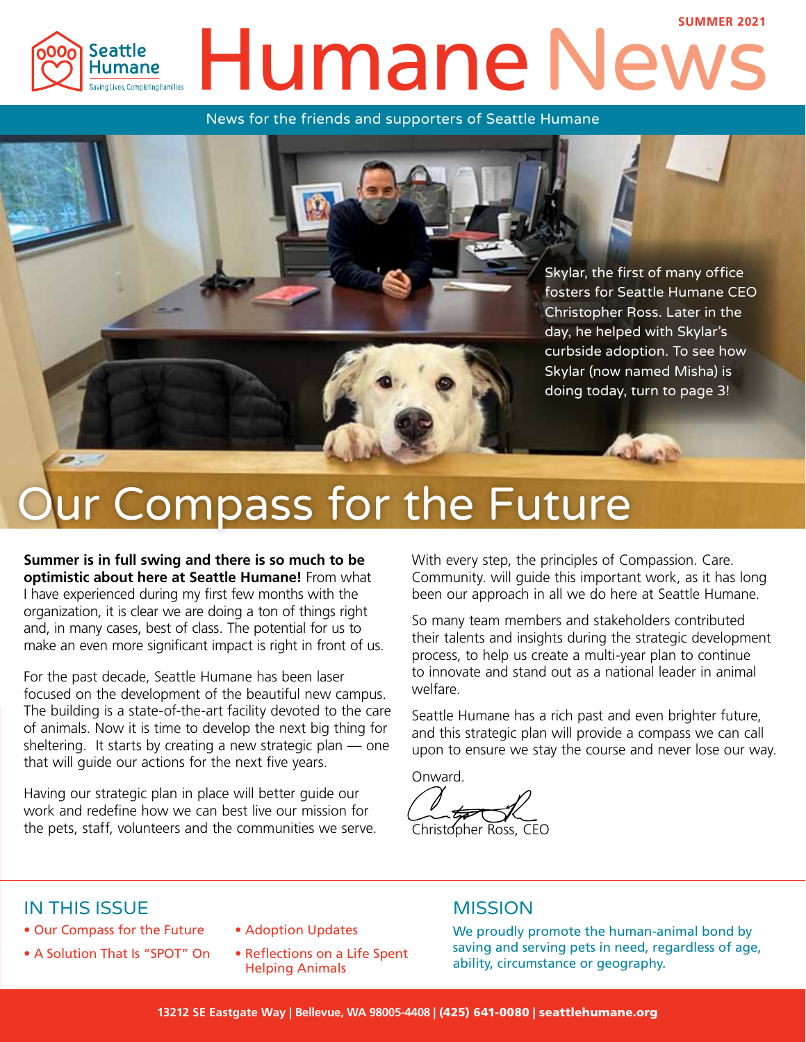#### **SUMMER 2021** Humane Ne Seattle Humane Saving Lives, Completing Families

News for the friends and supporters of Seattle Humane



Skylar, the first of many office fosters for Seattle Humane CEO Christopher Ross. Later in the day, he helped with Skylar's curbside adoption. To see how Skylar (now named Misha) is doing today, turn to page 3!

# ur Compass for the Future

**Summer is in full swing and there is so much to be optimistic about here at Seattle Humane!** From what I have experienced during my first few months with the organization, it is clear we are doing a ton of things right and, in many cases, best of class. The potential for us to make an even more significant impact is right in front of us.

For the past decade, Seattle Humane has been laser focused on the development of the beautiful new campus. The building is a state-of-the-art facility devoted to the care of animals. Now it is time to develop the next big thing for sheltering. It starts by creating a new strategic plan — one that will guide our actions for the next five years.

Having our strategic plan in place will better guide our work and redefine how we can best live our mission for the pets, staff, volunteers and the communities we serve. With every step, the principles of Compassion. Care. Community. will guide this important work, as it has long been our approach in all we do here at Seattle Humane.

So many team members and stakeholders contributed their talents and insights during the strategic development process, to help us create a multi-year plan to continue to innovate and stand out as a national leader in animal welfare.

Seattle Humane has a rich past and even brighter future, and this strategic plan will provide a compass we can call upon to ensure we stay the course and never lose our way.

Onward.

Christopher Ross, CFC

#### IN THIS ISSUE

- Our Compass for the Future
- A Solution That Is "SPOT" On
- Adoption Updates
- Reflections on a Life Spent Helping Animals

#### **MISSION**

We proudly promote the human-animal bond by saving and serving pets in need, regardless of age, ability, circumstance or geography.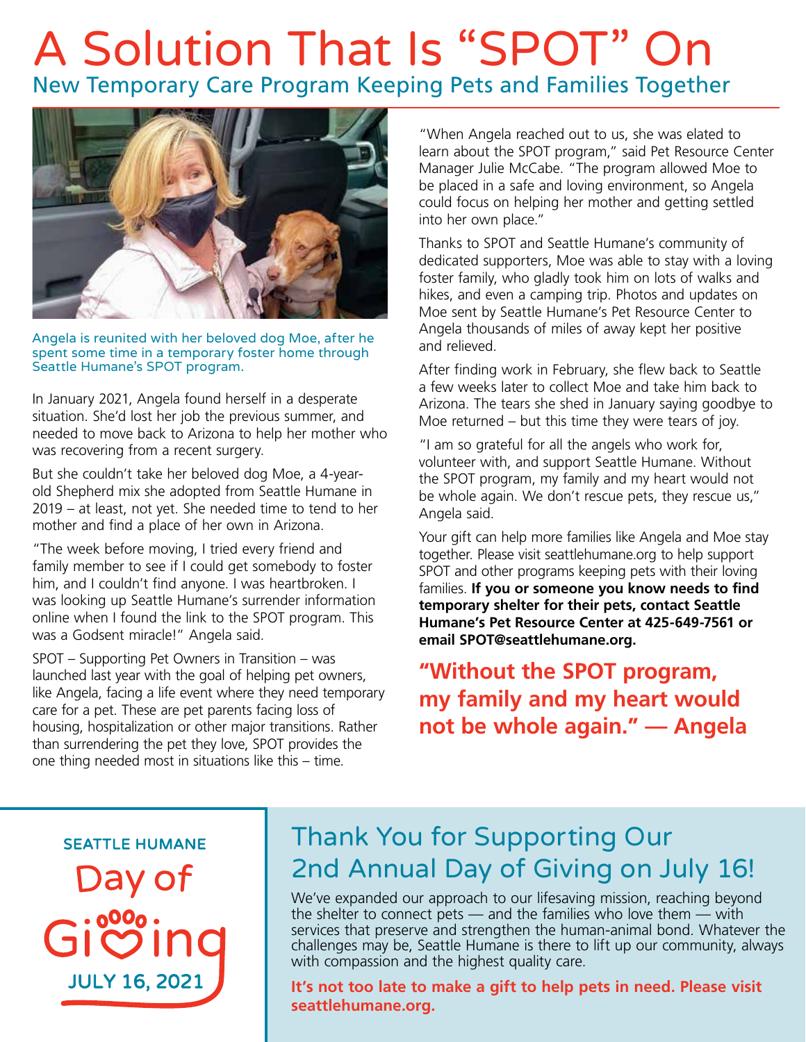# A Solution That Is "SPOT" On New Temporary Care Program Keeping Pets and Families Together



Angela is reunited with her beloved dog Moe, after he spent some time in a temporary foster home through Seattle Humane's SPOT program.

In January 2021, Angela found herself in a desperate situation. She'd lost her job the previous summer, and needed to move back to Arizona to help her mother who was recovering from a recent surgery.

But she couldn't take her beloved dog Moe, a 4-yearold Shepherd mix she adopted from Seattle Humane in 2019 – at least, not yet. She needed time to tend to her mother and find a place of her own in Arizona.

"The week before moving, I tried every friend and family member to see if I could get somebody to foster him, and I couldn't find anyone. I was heartbroken. I was looking up Seattle Humane's surrender information online when I found the link to the SPOT program. This was a Godsent miracle!" Angela said.

SPOT – Supporting Pet Owners in Transition – was launched last year with the goal of helping pet owners, like Angela, facing a life event where they need temporary care for a pet. These are pet parents facing loss of housing, hospitalization or other major transitions. Rather than surrendering the pet they love, SPOT provides the one thing needed most in situations like this – time.

"When Angela reached out to us, she was elated to learn about the SPOT program," said Pet Resource Center Manager Julie McCabe. "The program allowed Moe to be placed in a safe and loving environment, so Angela could focus on helping her mother and getting settled into her own place."

Thanks to SPOT and Seattle Humane's community of dedicated supporters, Moe was able to stay with a loving foster family, who gladly took him on lots of walks and hikes, and even a camping trip. Photos and updates on Moe sent by Seattle Humane's Pet Resource Center to Angela thousands of miles of away kept her positive and relieved.

After finding work in February, she flew back to Seattle a few weeks later to collect Moe and take him back to Arizona. The tears she shed in January saying goodbye to Moe returned – but this time they were tears of joy.

"I am so grateful for all the angels who work for, volunteer with, and support Seattle Humane. Without the SPOT program, my family and my heart would not be whole again. We don't rescue pets, they rescue us," Angela said.

Your gift can help more families like Angela and Moe stay together. Please visit seattlehumane.org to help support SPOT and other programs keeping pets with their loving families. **If you or someone you know needs to find temporary shelter for their pets, contact Seattle Humane's Pet Resource Center at 425-649-7561 or email SPOT@seattlehumane.org.** 

**"Without the SPOT program, my family and my heart would not be whole again." — Angela**

**SEATTLE HUMANE** 

Day of **JULY 16, 2021** 

### Thank You for Supporting Our 2nd Annual Day of Giving on July 16!

We've expanded our approach to our lifesaving mission, reaching beyond the shelter to connect pets — and the families who love them — with services that preserve and strengthen the human-animal bond. Whatever the challenges may be, Seattle Humane is there to lift up our community, always with compassion and the highest quality care.

**It's not too late to make a gift to help pets in need. Please visit seattlehumane.org.**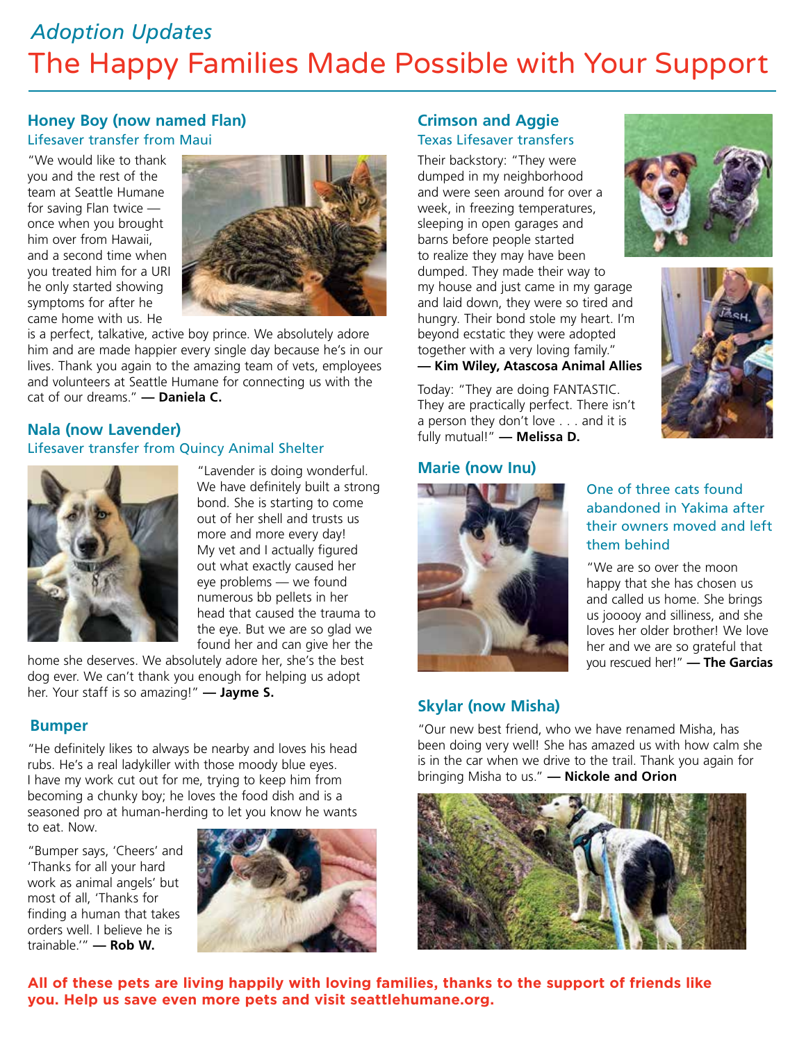### The Happy Families Made Possible with Your Support *Adoption Updates*

#### **Honey Boy (now named Flan)** Lifesaver transfer from Maui

"We would like to thank you and the rest of the team at Seattle Humane for saving Flan twice once when you brought him over from Hawaii, and a second time when you treated him for a URI he only started showing symptoms for after he came home with us. He



is a perfect, talkative, active boy prince. We absolutely adore him and are made happier every single day because he's in our lives. Thank you again to the amazing team of vets, employees and volunteers at Seattle Humane for connecting us with the cat of our dreams." **— Daniela C.**

#### **Nala (now Lavender)**

#### Lifesaver transfer from Quincy Animal Shelter



"Lavender is doing wonderful. We have definitely built a strong bond. She is starting to come out of her shell and trusts us more and more every day! My vet and I actually figured out what exactly caused her eye problems — we found numerous bb pellets in her head that caused the trauma to the eye. But we are so glad we found her and can give her the

home she deserves. We absolutely adore her, she's the best dog ever. We can't thank you enough for helping us adopt her. Your staff is so amazing!" **— Jayme S.**

#### **Bumper**

"He definitely likes to always be nearby and loves his head rubs. He's a real ladykiller with those moody blue eyes. I have my work cut out for me, trying to keep him from becoming a chunky boy; he loves the food dish and is a seasoned pro at human-herding to let you know he wants to eat. Now.

"Bumper says, 'Cheers' and 'Thanks for all your hard work as animal angels' but most of all, 'Thanks for finding a human that takes orders well. I believe he is trainable.'" **— Rob W.**



#### **Crimson and Aggie**  Texas Lifesaver transfers

Their backstory: "They were dumped in my neighborhood and were seen around for over a week, in freezing temperatures, sleeping in open garages and barns before people started to realize they may have been dumped. They made their way to my house and just came in my garage and laid down, they were so tired and hungry. Their bond stole my heart. I'm beyond ecstatic they were adopted together with a very loving family." **— Kim Wiley, Atascosa Animal Allies** 





Today: "They are doing FANTASTIC. They are practically perfect. There isn't a person they don't love . . . and it is fully mutual!" **— Melissa D.**

#### **Marie (now Inu)**



#### One of three cats found abandoned in Yakima after their owners moved and left them behind

"We are so over the moon happy that she has chosen us and called us home. She brings us jooooy and silliness, and she loves her older brother! We love her and we are so grateful that you rescued her!" **— The Garcias**

#### **Skylar (now Misha)**

"Our new best friend, who we have renamed Misha, has been doing very well! She has amazed us with how calm she is in the car when we drive to the trail. Thank you again for bringing Misha to us." **— Nickole and Orion**



**All of these pets are living happily with loving families, thanks to the support of friends like you. Help us save even more pets and visit seattlehumane.org.**